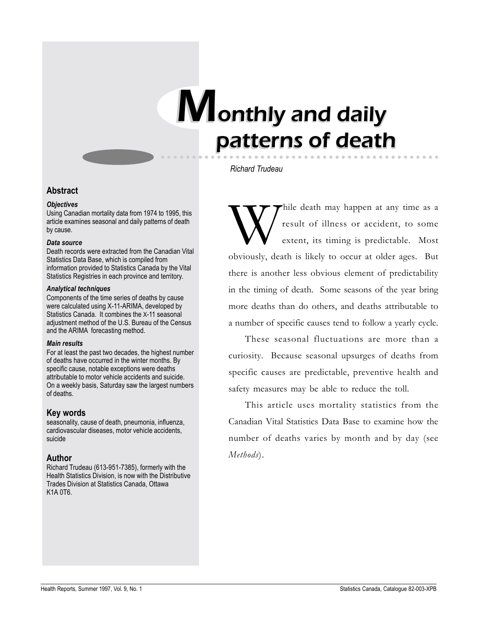# Monthly and daily patterns of death



# **Abstract**

#### *Objectives*

Using Canadian mortality data from 1974 to 1995, this article examines seasonal and daily patterns of death by cause.

#### *Data source*

Death records were extracted from the Canadian Vital Statistics Data Base, which is compiled from information provided to Statistics Canada by the Vital Statistics Registries in each province and territory.

## *Analytical techniques*

Components of the time series of deaths by cause were calculated using X-11-ARIMA, developed by Statistics Canada. It combines the X-11 seasonal adjustment method of the U.S. Bureau of the Census and the ARIMA forecasting method.

## *Main results*

For at least the past two decades, the highest number of deaths have occurred in the winter months. By specific cause, notable exceptions were deaths attributable to motor vehicle accidents and suicide. On a weekly basis, Saturday saw the largest numbers of deaths.

# **Key words**

seasonality, cause of death, pneumonia, influenza, cardiovascular diseases, motor vehicle accidents, suicide

# **Author**

Richard Trudeau (613-951-7385), formerly with the Health Statistics Division, is now with the Distributive Trades Division at Statistics Canada, Ottawa K1A 0T6.

*Richard Trudeau*

While death may happen at any time as a<br>result of illness or accident, to some<br>extent, its timing is predictable. Most result of illness or accident, to some extent, its timing is predictable. Most obviously, death is likely to occur at older ages. But there is another less obvious element of predictability in the timing of death. Some seasons of the year bring more deaths than do others, and deaths attributable to a number of specific causes tend to follow a yearly cycle.

These seasonal fluctuations are more than a curiosity. Because seasonal upsurges of deaths from specific causes are predictable, preventive health and safety measures may be able to reduce the toll.

This article uses mortality statistics from the Canadian Vital Statistics Data Base to examine how the number of deaths varies by month and by day (see *Methods*).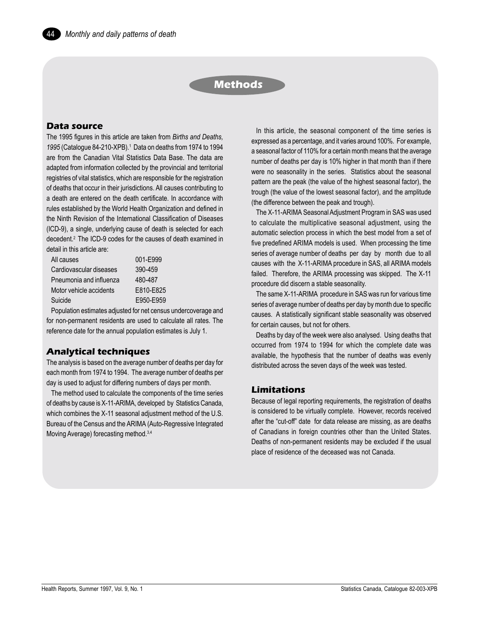# **Methods**

# **Data source**

The 1995 figures in this article are taken from *Births and Deaths,* 1995 (Catalogue 84-210-XPB).<sup>1</sup> Data on deaths from 1974 to 1994 are from the Canadian Vital Statistics Data Base. The data are adapted from information collected by the provincial and territorial registries of vital statistics, which are responsible for the registration of deaths that occur in their jurisdictions. All causes contributing to a death are entered on the death certificate. In accordance with rules established by the World Health Organization and defined in the Ninth Revision of the International Classification of Diseases (ICD-9), a single, underlying cause of death is selected for each decedent.2 The ICD-9 codes for the causes of death examined in detail in this article are:

| All causes              | 001-F999  |
|-------------------------|-----------|
| Cardiovascular diseases | 390-459   |
| Pneumonia and influenza | 480-487   |
| Motor vehicle accidents | E810-E825 |
| Suicide                 | F950-F959 |

Population estimates adjusted for net census undercoverage and for non-permanent residents are used to calculate all rates. The reference date for the annual population estimates is July 1.

# **Analytical techniques**

The analysis is based on the average number of deaths per day for each month from 1974 to 1994. The average number of deaths per day is used to adjust for differing numbers of days per month.

The method used to calculate the components of the time series of deaths by cause is X-11-ARIMA, developed by Statistics Canada, which combines the X-11 seasonal adjustment method of the U.S. Bureau of the Census and the ARIMA (Auto-Regressive Integrated Moving Average) forecasting method.3,4

In this article, the seasonal component of the time series is expressed as a percentage, and it varies around 100%. For example, a seasonal factor of 110% for a certain month means that the average number of deaths per day is 10% higher in that month than if there were no seasonality in the series. Statistics about the seasonal pattern are the peak (the value of the highest seasonal factor), the trough (the value of the lowest seasonal factor), and the amplitude (the difference between the peak and trough).

The X-11-ARIMA Seasonal Adjustment Program in SAS was used to calculate the multiplicative seasonal adjustment, using the automatic selection process in which the best model from a set of five predefined ARIMA models is used. When processing the time series of average number of deaths per day by month due to all causes with the X-11-ARIMA procedure in SAS, all ARIMA models failed. Therefore, the ARIMA processing was skipped. The X-11 procedure did discern a stable seasonality.

The same X-11-ARIMA procedure in SAS was run for various time series of average number of deaths per day by month due to specific causes. A statistically significant stable seasonality was observed for certain causes, but not for others.

Deaths by day of the week were also analysed. Using deaths that occurred from 1974 to 1994 for which the complete date was available, the hypothesis that the number of deaths was evenly distributed across the seven days of the week was tested.

## **Limitations**

Because of legal reporting requirements, the registration of deaths is considered to be virtually complete. However, records received after the "cut-off" date for data release are missing, as are deaths of Canadians in foreign countries other than the United States. Deaths of non-permanent residents may be excluded if the usual place of residence of the deceased was not Canada.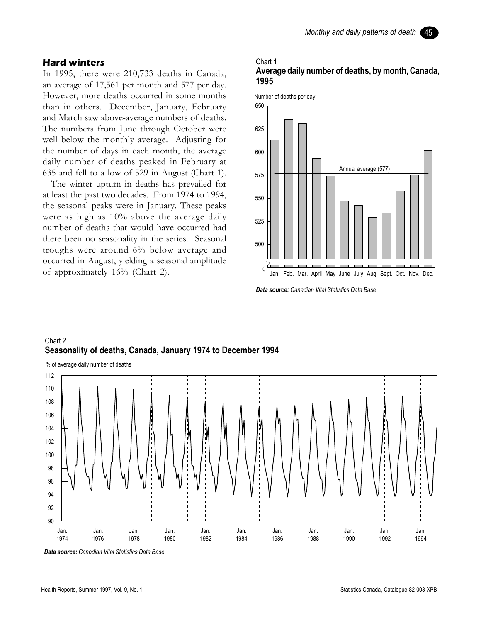# **Hard winters**

In 1995, there were 210,733 deaths in Canada, an average of 17,561 per month and 577 per day. However, more deaths occurred in some months than in others. December, January, February and March saw above-average numbers of deaths. The numbers from June through October were well below the monthly average. Adjusting for the number of days in each month, the average daily number of deaths peaked in February at 635 and fell to a low of 529 in August (Chart 1).

The winter upturn in deaths has prevailed for at least the past two decades. From 1974 to 1994, the seasonal peaks were in January. These peaks were as high as 10% above the average daily number of deaths that would have occurred had there been no seasonality in the series. Seasonal troughs were around 6% below average and occurred in August, yielding a seasonal amplitude of approximately 16% (Chart 2).

#### Chart 1 **Average daily number of deaths, by month, Canada, 1995**



*Data source: Canadian Vital Statistics Data Base*



# Chart 2 **Seasonality of deaths, Canada, January 1974 to December 1994**

*Data source: Canadian Vital Statistics Data Base*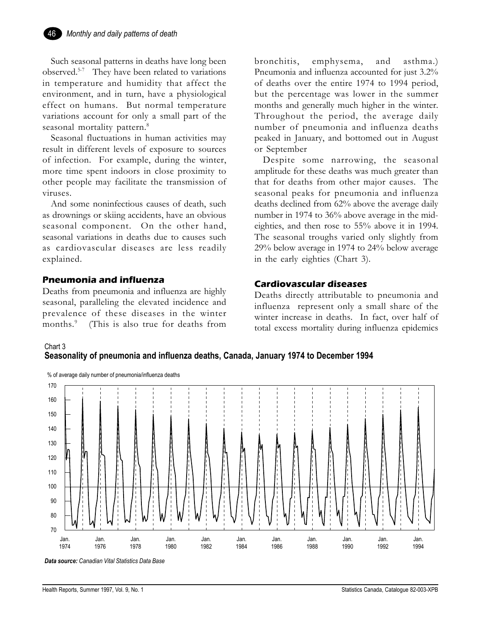Such seasonal patterns in deaths have long been observed.5-7 They have been related to variations in temperature and humidity that affect the environment, and in turn, have a physiological effect on humans. But normal temperature variations account for only a small part of the seasonal mortality pattern.<sup>8</sup>

Seasonal fluctuations in human activities may result in different levels of exposure to sources of infection. For example, during the winter, more time spent indoors in close proximity to other people may facilitate the transmission of viruses.

And some noninfectious causes of death, such as drownings or skiing accidents, have an obvious seasonal component. On the other hand, seasonal variations in deaths due to causes such as cardiovascular diseases are less readily explained.

# **Pneumonia and influenza**

Deaths from pneumonia and influenza are highly seasonal, paralleling the elevated incidence and prevalence of these diseases in the winter months.<sup>9</sup> (This is also true for deaths from bronchitis, emphysema, and asthma.) Pneumonia and influenza accounted for just 3.2% of deaths over the entire 1974 to 1994 period, but the percentage was lower in the summer months and generally much higher in the winter. Throughout the period, the average daily number of pneumonia and influenza deaths peaked in January, and bottomed out in August or September

Despite some narrowing, the seasonal amplitude for these deaths was much greater than that for deaths from other major causes. The seasonal peaks for pneumonia and influenza deaths declined from 62% above the average daily number in 1974 to 36% above average in the mideighties, and then rose to 55% above it in 1994. The seasonal troughs varied only slightly from 29% below average in 1974 to 24% below average in the early eighties (Chart 3).

# **Cardiovascular diseases**

Deaths directly attributable to pneumonia and influenza represent only a small share of the winter increase in deaths. In fact, over half of total excess mortality during influenza epidemics



**Seasonality of pneumonia and influenza deaths, Canada, January 1974 to December 1994**



*Data source: Canadian Vital Statistics Data Base*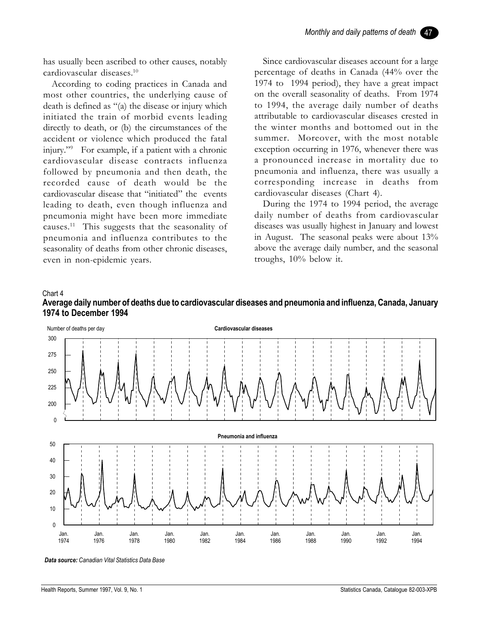has usually been ascribed to other causes, notably cardiovascular diseases.10

According to coding practices in Canada and most other countries, the underlying cause of death is defined as  $\degree$ (a) the disease or injury which initiated the train of morbid events leading directly to death, or (b) the circumstances of the accident or violence which produced the fatal injury."<sup>9</sup> For example, if a patient with a chronic cardiovascular disease contracts influenza followed by pneumonia and then death, the recorded cause of death would be the cardiovascular disease that "initiated" the events leading to death, even though influenza and pneumonia might have been more immediate causes.11 This suggests that the seasonality of pneumonia and influenza contributes to the seasonality of deaths from other chronic diseases, even in non-epidemic years.

Since cardiovascular diseases account for a large percentage of deaths in Canada (44% over the 1974 to 1994 period), they have a great impact on the overall seasonality of deaths. From 1974 to 1994, the average daily number of deaths attributable to cardiovascular diseases crested in the winter months and bottomed out in the summer. Moreover, with the most notable exception occurring in 1976, whenever there was a pronounced increase in mortality due to pneumonia and influenza, there was usually a corresponding increase in deaths from cardiovascular diseases (Chart 4).

During the 1974 to 1994 period, the average daily number of deaths from cardiovascular diseases was usually highest in January and lowest in August. The seasonal peaks were about 13% above the average daily number, and the seasonal troughs, 10% below it.

#### Chart 4





*Data source: Canadian Vital Statistics Data Base*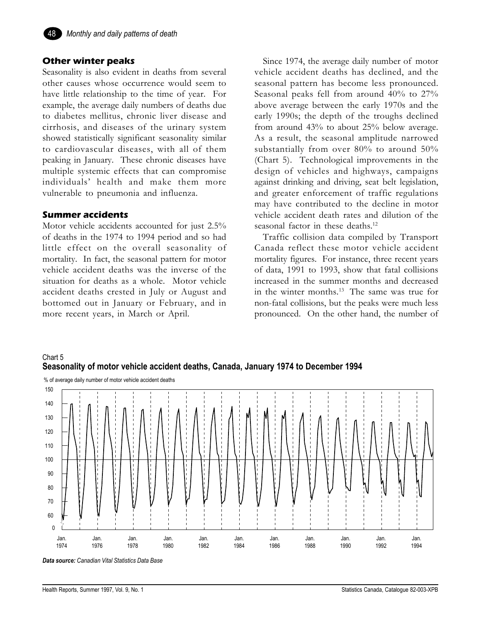

# **Other winter peaks**

Seasonality is also evident in deaths from several other causes whose occurrence would seem to have little relationship to the time of year. For example, the average daily numbers of deaths due to diabetes mellitus, chronic liver disease and cirrhosis, and diseases of the urinary system showed statistically significant seasonality similar to cardiovascular diseases, with all of them peaking in January. These chronic diseases have multiple systemic effects that can compromise individuals' health and make them more vulnerable to pneumonia and influenza.

# **Summer accidents**

Motor vehicle accidents accounted for just 2.5% of deaths in the 1974 to 1994 period and so had little effect on the overall seasonality of mortality. In fact, the seasonal pattern for motor vehicle accident deaths was the inverse of the situation for deaths as a whole. Motor vehicle accident deaths crested in July or August and bottomed out in January or February, and in more recent years, in March or April.

Since 1974, the average daily number of motor vehicle accident deaths has declined, and the seasonal pattern has become less pronounced. Seasonal peaks fell from around 40% to 27% above average between the early 1970s and the early 1990s; the depth of the troughs declined from around 43% to about 25% below average. As a result, the seasonal amplitude narrowed substantially from over 80% to around 50% (Chart 5). Technological improvements in the design of vehicles and highways, campaigns against drinking and driving, seat belt legislation, and greater enforcement of traffic regulations may have contributed to the decline in motor vehicle accident death rates and dilution of the seasonal factor in these deaths.<sup>12</sup>

Traffic collision data compiled by Transport Canada reflect these motor vehicle accident mortality figures. For instance, three recent years of data, 1991 to 1993, show that fatal collisions increased in the summer months and decreased in the winter months.13 The same was true for non-fatal collisions, but the peaks were much less pronounced. On the other hand, the number of





*Data source: Canadian Vital Statistics Data Base*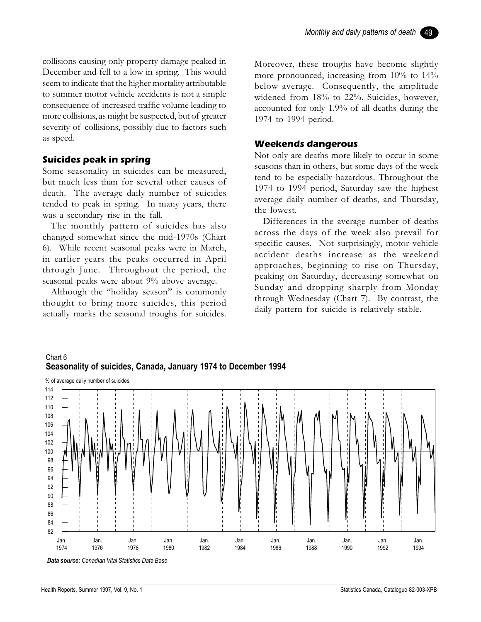collisions causing only property damage peaked in December and fell to a low in spring. This would seem to indicate that the higher mortality attributable to summer motor vehicle accidents is not a simple consequence of increased traffic volume leading to more collisions, as might be suspected, but of greater severity of collisions, possibly due to factors such as speed.

# **Suicides peak in spring**

Some seasonality in suicides can be measured, but much less than for several other causes of death. The average daily number of suicides tended to peak in spring. In many years, there was a secondary rise in the fall.

The monthly pattern of suicides has also changed somewhat since the mid-1970s (Chart 6). While recent seasonal peaks were in March, in earlier years the peaks occurred in April through June. Throughout the period, the seasonal peaks were about 9% above average.

Although the "holiday season" is commonly thought to bring more suicides, this period actually marks the seasonal troughs for suicides.

Moreover, these troughs have become slightly more pronounced, increasing from 10% to 14% below average. Consequently, the amplitude widened from 18% to 22%. Suicides, however, accounted for only 1.9% of all deaths during the 1974 to 1994 period.

# **Weekends dangerous**

Not only are deaths more likely to occur in some seasons than in others, but some days of the week tend to be especially hazardous. Throughout the 1974 to 1994 period, Saturday saw the highest average daily number of deaths, and Thursday, the lowest.

Differences in the average number of deaths across the days of the week also prevail for specific causes. Not surprisingly, motor vehicle accident deaths increase as the weekend approaches, beginning to rise on Thursday, peaking on Saturday, decreasing somewhat on Sunday and dropping sharply from Monday through Wednesday (Chart 7). By contrast, the daily pattern for suicide is relatively stable.



# Chart 6 **Seasonality of suicides, Canada, January 1974 to December 1994**

*Data source: Canadian Vital Statistics Data Base*